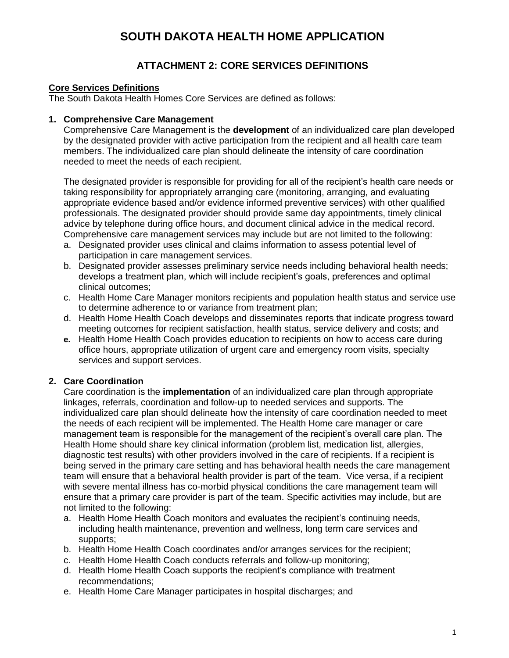## **SOUTH DAKOTA HEALTH HOME APPLICATION**

## **ATTACHMENT 2: CORE SERVICES DEFINITIONS**

### **Core Services Definitions**

The South Dakota Health Homes Core Services are defined as follows:

#### **1. Comprehensive Care Management**

Comprehensive Care Management is the **development** of an individualized care plan developed by the designated provider with active participation from the recipient and all health care team members. The individualized care plan should delineate the intensity of care coordination needed to meet the needs of each recipient.

The designated provider is responsible for providing for all of the recipient's health care needs or taking responsibility for appropriately arranging care (monitoring, arranging, and evaluating appropriate evidence based and/or evidence informed preventive services) with other qualified professionals. The designated provider should provide same day appointments, timely clinical advice by telephone during office hours, and document clinical advice in the medical record. Comprehensive care management services may include but are not limited to the following:

- a. Designated provider uses clinical and claims information to assess potential level of participation in care management services.
- b. Designated provider assesses preliminary service needs including behavioral health needs; develops a treatment plan, which will include recipient's goals, preferences and optimal clinical outcomes;
- c. Health Home Care Manager monitors recipients and population health status and service use to determine adherence to or variance from treatment plan;
- d. Health Home Health Coach develops and disseminates reports that indicate progress toward meeting outcomes for recipient satisfaction, health status, service delivery and costs; and
- **e.** Health Home Health Coach provides education to recipients on how to access care during office hours, appropriate utilization of urgent care and emergency room visits, specialty services and support services.

### **2. Care Coordination**

Care coordination is the **implementation** of an individualized care plan through appropriate linkages, referrals, coordination and follow-up to needed services and supports. The individualized care plan should delineate how the intensity of care coordination needed to meet the needs of each recipient will be implemented. The Health Home care manager or care management team is responsible for the management of the recipient's overall care plan. The Health Home should share key clinical information (problem list, medication list, allergies, diagnostic test results) with other providers involved in the care of recipients. If a recipient is being served in the primary care setting and has behavioral health needs the care management team will ensure that a behavioral health provider is part of the team. Vice versa, if a recipient with severe mental illness has co-morbid physical conditions the care management team will ensure that a primary care provider is part of the team. Specific activities may include, but are not limited to the following:

- a. Health Home Health Coach monitors and evaluates the recipient's continuing needs, including health maintenance, prevention and wellness, long term care services and supports;
- b. Health Home Health Coach coordinates and/or arranges services for the recipient;
- c. Health Home Health Coach conducts referrals and follow-up monitoring;
- d. Health Home Health Coach supports the recipient's compliance with treatment recommendations;
- e. Health Home Care Manager participates in hospital discharges; and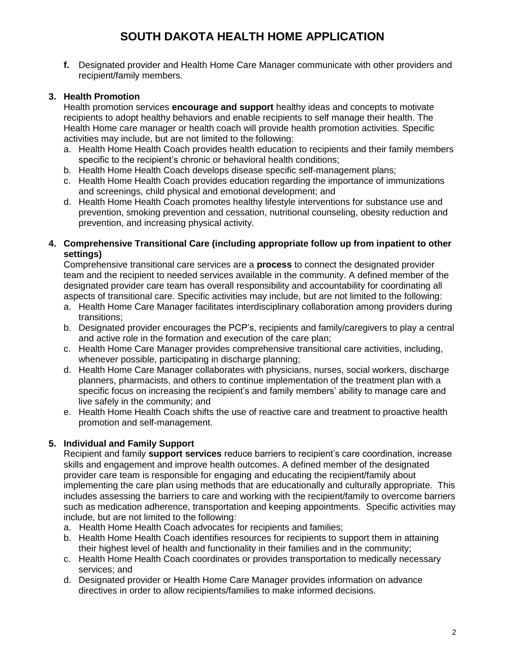# **SOUTH DAKOTA HEALTH HOME APPLICATION**

**f.** Designated provider and Health Home Care Manager communicate with other providers and recipient/family members.

### **3. Health Promotion**

Health promotion services **encourage and support** healthy ideas and concepts to motivate recipients to adopt healthy behaviors and enable recipients to self manage their health. The Health Home care manager or health coach will provide health promotion activities. Specific activities may include, but are not limited to the following:

- a. Health Home Health Coach provides health education to recipients and their family members specific to the recipient's chronic or behavioral health conditions;
- b. Health Home Health Coach develops disease specific self-management plans;
- c. Health Home Health Coach provides education regarding the importance of immunizations and screenings, child physical and emotional development; and
- d. Health Home Health Coach promotes healthy lifestyle interventions for substance use and prevention, smoking prevention and cessation, nutritional counseling, obesity reduction and prevention, and increasing physical activity.

#### **4. Comprehensive Transitional Care (including appropriate follow up from inpatient to other settings)**

Comprehensive transitional care services are a **process** to connect the designated provider team and the recipient to needed services available in the community. A defined member of the designated provider care team has overall responsibility and accountability for coordinating all aspects of transitional care. Specific activities may include, but are not limited to the following:

- a. Health Home Care Manager facilitates interdisciplinary collaboration among providers during transitions;
- b. Designated provider encourages the PCP's, recipients and family/caregivers to play a central and active role in the formation and execution of the care plan;
- c. Health Home Care Manager provides comprehensive transitional care activities, including, whenever possible, participating in discharge planning;
- d. Health Home Care Manager collaborates with physicians, nurses, social workers, discharge planners, pharmacists, and others to continue implementation of the treatment plan with a specific focus on increasing the recipient's and family members' ability to manage care and live safely in the community; and
- e. Health Home Health Coach shifts the use of reactive care and treatment to proactive health promotion and self-management.

## **5. Individual and Family Support**

Recipient and family **support services** reduce barriers to recipient's care coordination, increase skills and engagement and improve health outcomes. A defined member of the designated provider care team is responsible for engaging and educating the recipient/family about implementing the care plan using methods that are educationally and culturally appropriate. This includes assessing the barriers to care and working with the recipient/family to overcome barriers such as medication adherence, transportation and keeping appointments. Specific activities may include, but are not limited to the following:

- a. Health Home Health Coach advocates for recipients and families;
- b. Health Home Health Coach identifies resources for recipients to support them in attaining their highest level of health and functionality in their families and in the community;
- c. Health Home Health Coach coordinates or provides transportation to medically necessary services; and
- d. Designated provider or Health Home Care Manager provides information on advance directives in order to allow recipients/families to make informed decisions.